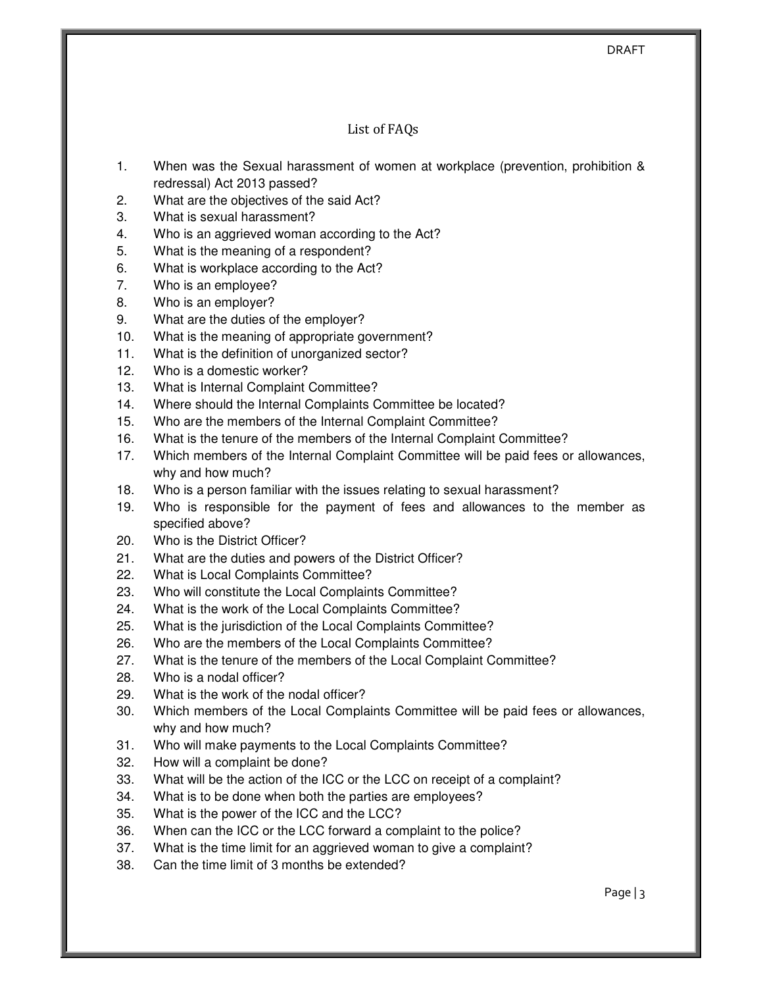DRAFT

#### List of FAQs

- 1. When was the Sexual harassment of women at workplace (prevention, prohibition & redressal) Act 2013 passed?
- 2. What are the objectives of the said Act?
- 3. What is sexual harassment?
- 4. Who is an aggrieved woman according to the Act?
- 5. What is the meaning of a respondent?
- 6. What is workplace according to the Act?
- 7. Who is an employee?
- 8. Who is an employer?
- 9. What are the duties of the employer?
- 10. What is the meaning of appropriate government?
- 11. What is the definition of unorganized sector?
- 12. Who is a domestic worker?
- 13. What is Internal Complaint Committee?
- 14. Where should the Internal Complaints Committee be located?
- 15. Who are the members of the Internal Complaint Committee?
- 16. What is the tenure of the members of the Internal Complaint Committee?
- 17. Which members of the Internal Complaint Committee will be paid fees or allowances, why and how much?
- 18. Who is a person familiar with the issues relating to sexual harassment?
- 19. Who is responsible for the payment of fees and allowances to the member as specified above?
- 20. Who is the District Officer?
- 21. What are the duties and powers of the District Officer?
- 22. What is Local Complaints Committee?
- 23. Who will constitute the Local Complaints Committee?
- 24. What is the work of the Local Complaints Committee?
- 25. What is the jurisdiction of the Local Complaints Committee?
- 26. Who are the members of the Local Complaints Committee?
- 27. What is the tenure of the members of the Local Complaint Committee?
- 28. Who is a nodal officer?
- 29. What is the work of the nodal officer?
- 30. Which members of the Local Complaints Committee will be paid fees or allowances, why and how much?
- 31. Who will make payments to the Local Complaints Committee?
- 32. How will a complaint be done?
- 33. What will be the action of the ICC or the LCC on receipt of a complaint?
- 34. What is to be done when both the parties are employees?
- 35. What is the power of the ICC and the LCC?
- 36. When can the ICC or the LCC forward a complaint to the police?
- 37. What is the time limit for an aggrieved woman to give a complaint?
- 38. Can the time limit of 3 months be extended?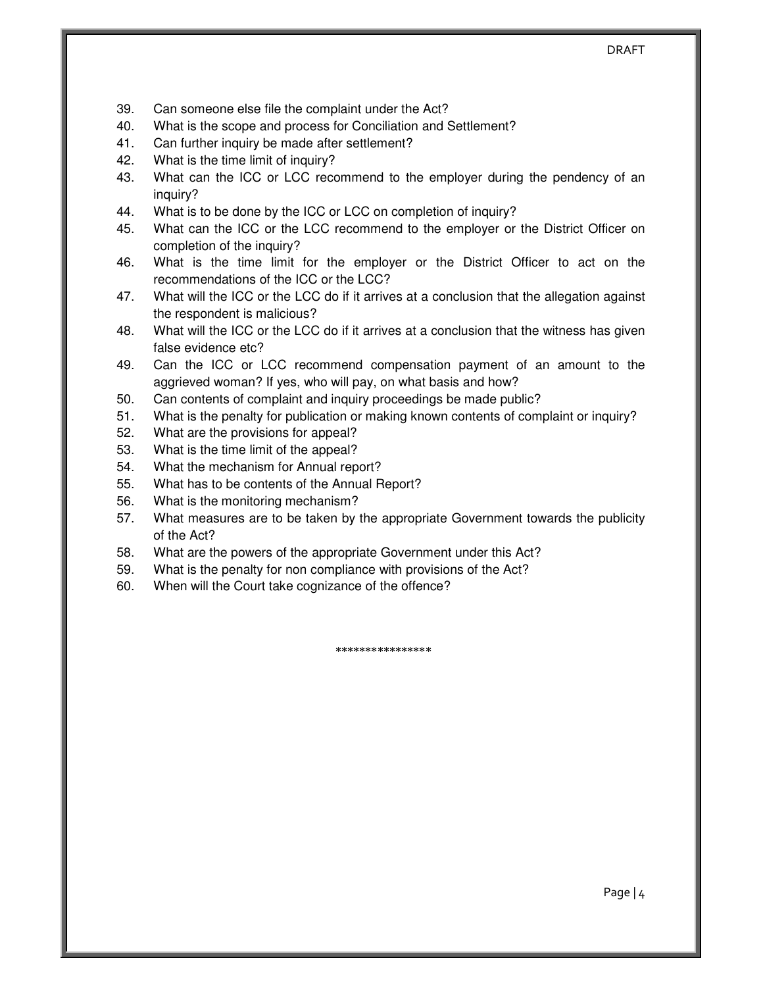- 39. Can someone else file the complaint under the Act?
- 40. What is the scope and process for Conciliation and Settlement?
- 41. Can further inquiry be made after settlement?
- 42. What is the time limit of inquiry?
- 43. What can the ICC or LCC recommend to the employer during the pendency of an inquiry?
- 44. What is to be done by the ICC or LCC on completion of inquiry?
- 45. What can the ICC or the LCC recommend to the employer or the District Officer on completion of the inquiry?
- 46. What is the time limit for the employer or the District Officer to act on the recommendations of the ICC or the LCC?
- 47. What will the ICC or the LCC do if it arrives at a conclusion that the allegation against the respondent is malicious?
- 48. What will the ICC or the LCC do if it arrives at a conclusion that the witness has given false evidence etc?
- 49. Can the ICC or LCC recommend compensation payment of an amount to the aggrieved woman? If yes, who will pay, on what basis and how?
- 50. Can contents of complaint and inquiry proceedings be made public?
- 51. What is the penalty for publication or making known contents of complaint or inquiry?
- 52. What are the provisions for appeal?
- 53. What is the time limit of the appeal?
- 54. What the mechanism for Annual report?
- 55. What has to be contents of the Annual Report?
- 56. What is the monitoring mechanism?
- 57. What measures are to be taken by the appropriate Government towards the publicity of the Act?
- 58. What are the powers of the appropriate Government under this Act?
- 59. What is the penalty for non compliance with provisions of the Act?
- 60. When will the Court take cognizance of the offence?

\*\*\*\*\*\*\*\*\*\*\*\*\*\*\*\*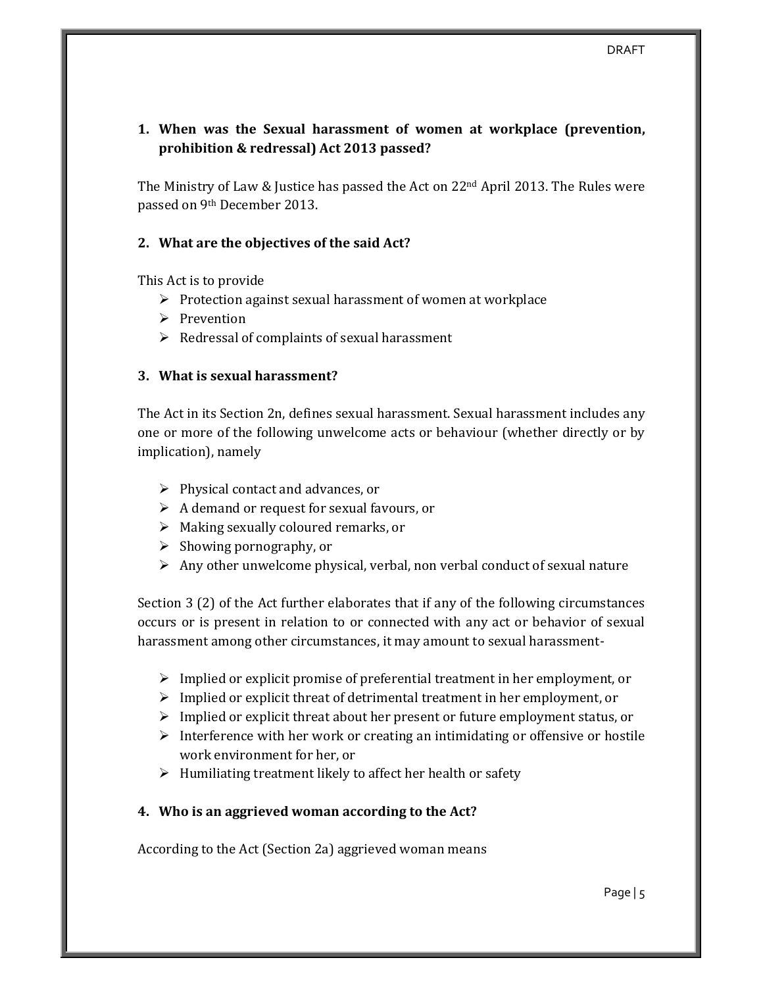# **1. When was the Sexual harassment of women at workplace (prevention, prohibition & redressal) Act 2013 passed?**

The Ministry of Law & Justice has passed the Act on  $22<sup>nd</sup>$  April 2013. The Rules were passed on 9th December 2013.

## **2. What are the objectives of the said Act?**

This Act is to provide

- $\triangleright$  Protection against sexual harassment of women at workplace
- $\triangleright$  Prevention
- $\triangleright$  Redressal of complaints of sexual harassment

### **3. What is sexual harassment?**

The Act in its Section 2n, defines sexual harassment. Sexual harassment includes any one or more of the following unwelcome acts or behaviour (whether directly or by implication), namely

- $\triangleright$  Physical contact and advances, or
- $\triangleright$  A demand or request for sexual favours, or
- $\triangleright$  Making sexually coloured remarks, or
- $\triangleright$  Showing pornography, or
- $\triangleright$  Any other unwelcome physical, verbal, non verbal conduct of sexual nature

Section 3 (2) of the Act further elaborates that if any of the following circumstances occurs or is present in relation to or connected with any act or behavior of sexual harassment among other circumstances, it may amount to sexual harassment-

- $\triangleright$  Implied or explicit promise of preferential treatment in her employment, or
- $\triangleright$  Implied or explicit threat of detrimental treatment in her employment, or
- $\triangleright$  Implied or explicit threat about her present or future employment status, or
- $\triangleright$  Interference with her work or creating an intimidating or offensive or hostile work environment for her, or
- $\triangleright$  Humiliating treatment likely to affect her health or safety

## **4. Who is an aggrieved woman according to the Act?**

According to the Act (Section 2a) aggrieved woman means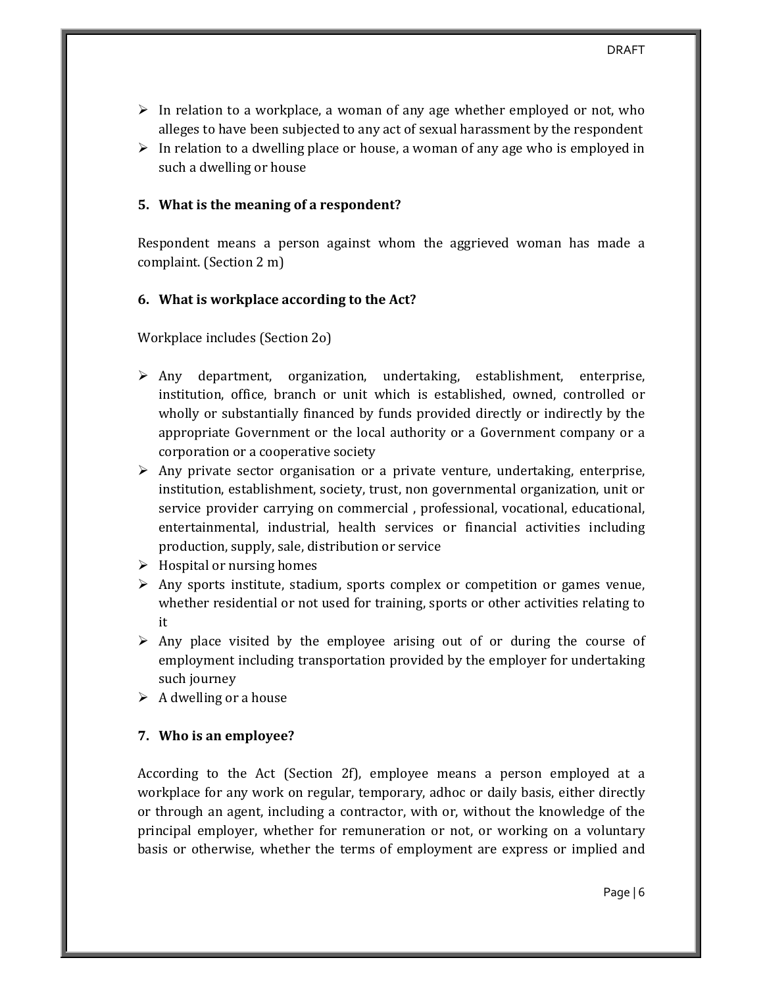- $\triangleright$  In relation to a workplace, a woman of any age whether employed or not, who alleges to have been subjected to any act of sexual harassment by the respondent
- $\triangleright$  In relation to a dwelling place or house, a woman of any age who is employed in such a dwelling or house

### **5. What is the meaning of a respondent?**

Respondent means a person against whom the aggrieved woman has made a complaint. (Section 2 m)

#### **6. What is workplace according to the Act?**

Workplace includes (Section 2o)

- $\triangleright$  Any department, organization, undertaking, establishment, enterprise, institution, office, branch or unit which is established, owned, controlled or wholly or substantially financed by funds provided directly or indirectly by the appropriate Government or the local authority or a Government company or a corporation or a cooperative society
- $\triangleright$  Any private sector organisation or a private venture, undertaking, enterprise, institution, establishment, society, trust, non governmental organization, unit or service provider carrying on commercial , professional, vocational, educational, entertainmental, industrial, health services or financial activities including production, supply, sale, distribution or service
- $\triangleright$  Hospital or nursing homes
- $\triangleright$  Any sports institute, stadium, sports complex or competition or games venue, whether residential or not used for training, sports or other activities relating to it
- $\triangleright$  Any place visited by the employee arising out of or during the course of employment including transportation provided by the employer for undertaking such journey
- $\triangleright$  A dwelling or a house

### **7. Who is an employee?**

According to the Act (Section 2f), employee means a person employed at a workplace for any work on regular, temporary, adhoc or daily basis, either directly or through an agent, including a contractor, with or, without the knowledge of the principal employer, whether for remuneration or not, or working on a voluntary basis or otherwise, whether the terms of employment are express or implied and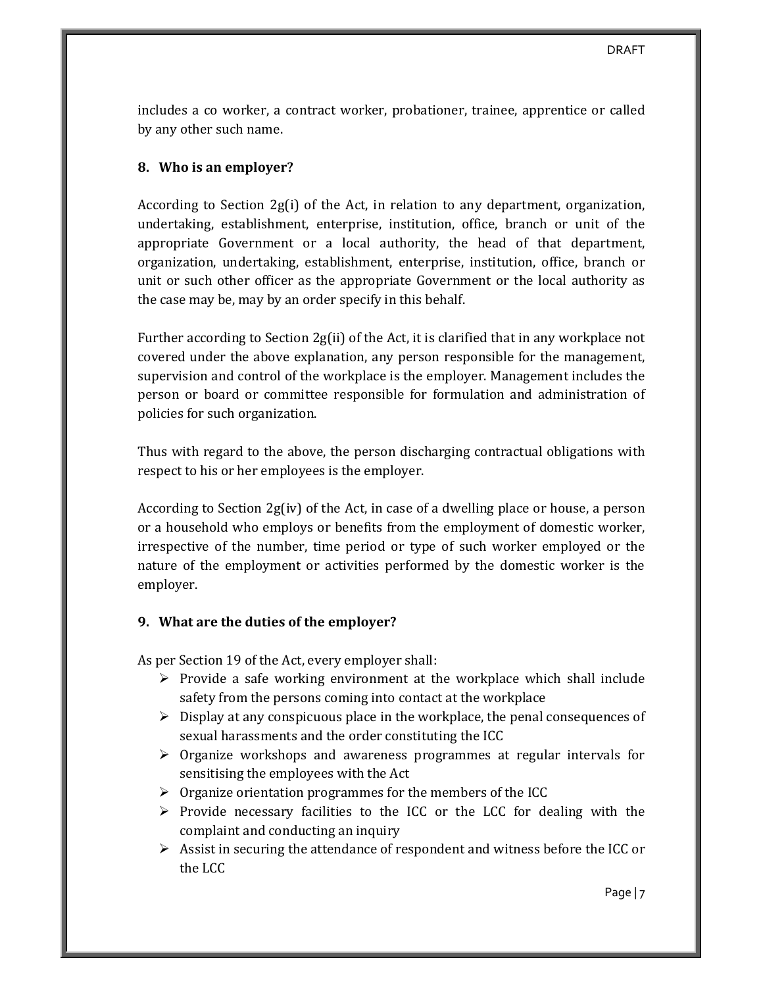includes a co worker, a contract worker, probationer, trainee, apprentice or called by any other such name.

### **8. Who is an employer?**

According to Section 2g(i) of the Act, in relation to any department, organization, undertaking, establishment, enterprise, institution, office, branch or unit of the appropriate Government or a local authority, the head of that department, organization, undertaking, establishment, enterprise, institution, office, branch or unit or such other officer as the appropriate Government or the local authority as the case may be, may by an order specify in this behalf.

Further according to Section 2g(ii) of the Act, it is clarified that in any workplace not covered under the above explanation, any person responsible for the management, supervision and control of the workplace is the employer. Management includes the person or board or committee responsible for formulation and administration of policies for such organization.

Thus with regard to the above, the person discharging contractual obligations with respect to his or her employees is the employer.

According to Section 2g(iv) of the Act, in case of a dwelling place or house, a person or a household who employs or benefits from the employment of domestic worker, irrespective of the number, time period or type of such worker employed or the nature of the employment or activities performed by the domestic worker is the employer.

### **9. What are the duties of the employer?**

As per Section 19 of the Act, every employer shall:

- $\triangleright$  Provide a safe working environment at the workplace which shall include safety from the persons coming into contact at the workplace
- $\triangleright$  Display at any conspicuous place in the workplace, the penal consequences of sexual harassments and the order constituting the ICC
- $\triangleright$  Organize workshops and awareness programmes at regular intervals for sensitising the employees with the Act
- $\triangleright$  Organize orientation programmes for the members of the ICC
- $\triangleright$  Provide necessary facilities to the ICC or the LCC for dealing with the complaint and conducting an inquiry
- $\triangleright$  Assist in securing the attendance of respondent and witness before the ICC or the LCC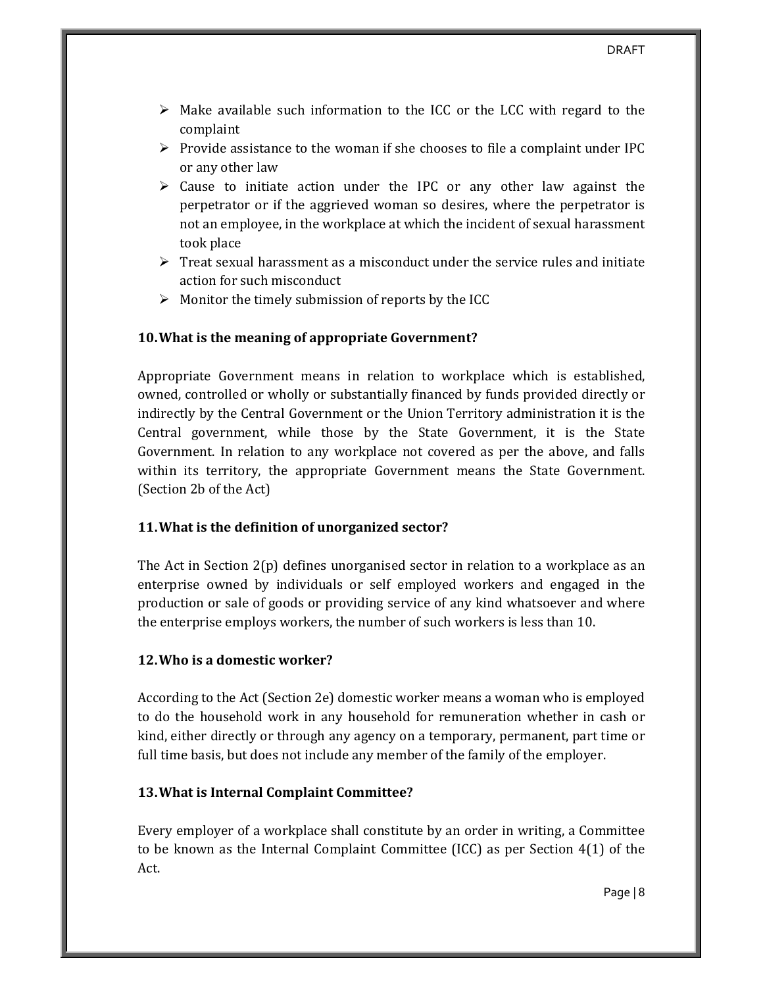- $\triangleright$  Make available such information to the ICC or the LCC with regard to the complaint
- $\triangleright$  Provide assistance to the woman if she chooses to file a complaint under IPC or any other law
- $\triangleright$  Cause to initiate action under the IPC or any other law against the perpetrator or if the aggrieved woman so desires, where the perpetrator is not an employee, in the workplace at which the incident of sexual harassment took place
- $\triangleright$  Treat sexual harassment as a misconduct under the service rules and initiate action for such misconduct
- $\triangleright$  Monitor the timely submission of reports by the ICC

### **10.What is the meaning of appropriate Government?**

Appropriate Government means in relation to workplace which is established, owned, controlled or wholly or substantially financed by funds provided directly or indirectly by the Central Government or the Union Territory administration it is the Central government, while those by the State Government, it is the State Government. In relation to any workplace not covered as per the above, and falls within its territory, the appropriate Government means the State Government. (Section 2b of the Act)

### **11.What is the definition of unorganized sector?**

The Act in Section 2(p) defines unorganised sector in relation to a workplace as an enterprise owned by individuals or self employed workers and engaged in the production or sale of goods or providing service of any kind whatsoever and where the enterprise employs workers, the number of such workers is less than 10.

#### **12.Who is a domestic worker?**

According to the Act (Section 2e) domestic worker means a woman who is employed to do the household work in any household for remuneration whether in cash or kind, either directly or through any agency on a temporary, permanent, part time or full time basis, but does not include any member of the family of the employer.

### **13.What is Internal Complaint Committee?**

Every employer of a workplace shall constitute by an order in writing, a Committee to be known as the Internal Complaint Committee (ICC) as per Section 4(1) of the Act.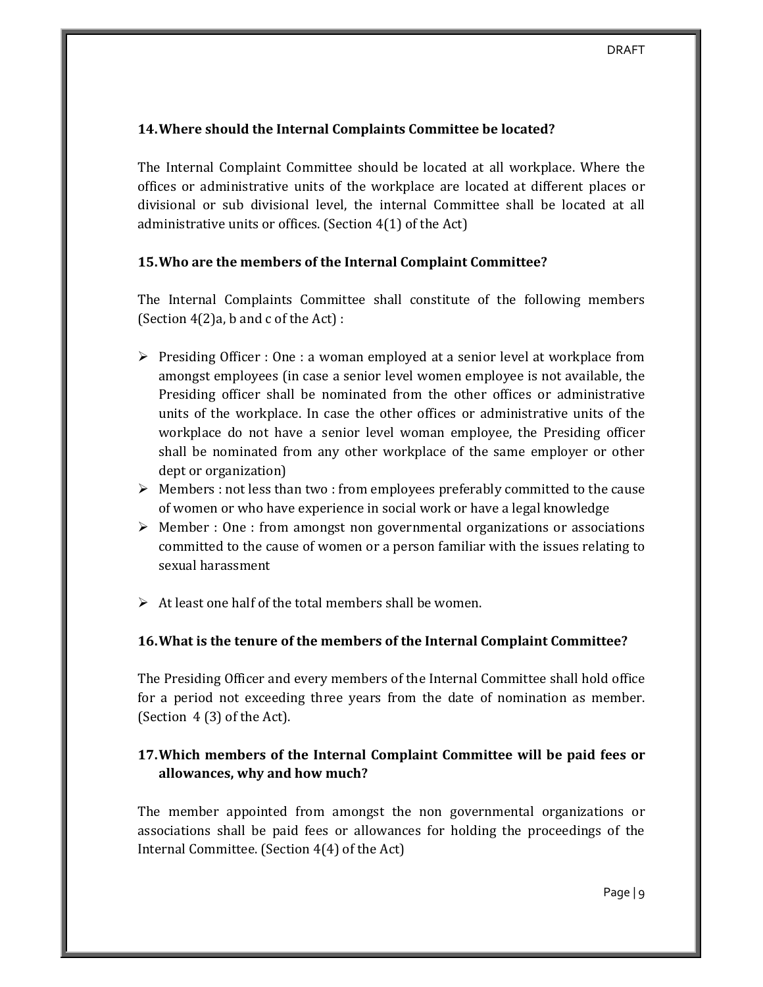### **14.Where should the Internal Complaints Committee be located?**

The Internal Complaint Committee should be located at all workplace. Where the offices or administrative units of the workplace are located at different places or divisional or sub divisional level, the internal Committee shall be located at all administrative units or offices. (Section 4(1) of the Act)

### **15.Who are the members of the Internal Complaint Committee?**

The Internal Complaints Committee shall constitute of the following members (Section  $4(2)a$ , b and c of the Act) :

- $\triangleright$  Presiding Officer : One : a woman employed at a senior level at workplace from amongst employees (in case a senior level women employee is not available, the Presiding officer shall be nominated from the other offices or administrative units of the workplace. In case the other offices or administrative units of the workplace do not have a senior level woman employee, the Presiding officer shall be nominated from any other workplace of the same employer or other dept or organization)
- $\triangleright$  Members : not less than two : from employees preferably committed to the cause of women or who have experience in social work or have a legal knowledge
- $\triangleright$  Member : One : from amongst non governmental organizations or associations committed to the cause of women or a person familiar with the issues relating to sexual harassment
- $\triangleright$  At least one half of the total members shall be women.

### **16.What is the tenure of the members of the Internal Complaint Committee?**

The Presiding Officer and every members of the Internal Committee shall hold office for a period not exceeding three years from the date of nomination as member. (Section 4 (3) of the Act).

# **17.Which members of the Internal Complaint Committee will be paid fees or allowances, why and how much?**

The member appointed from amongst the non governmental organizations or associations shall be paid fees or allowances for holding the proceedings of the Internal Committee. (Section 4(4) of the Act)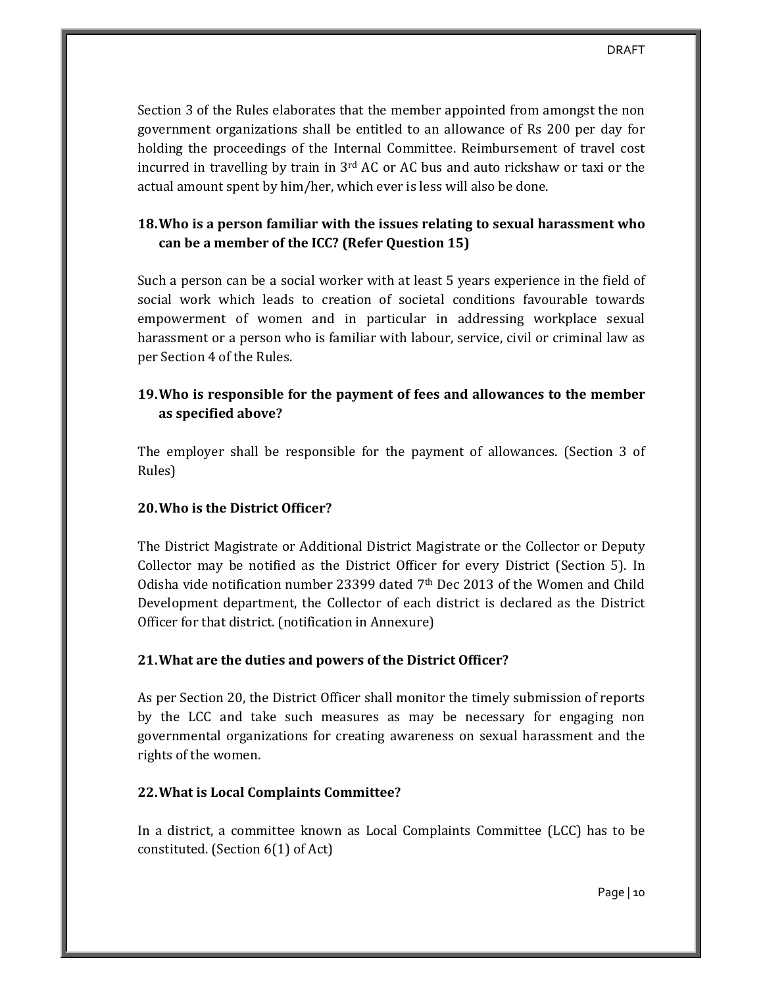Section 3 of the Rules elaborates that the member appointed from amongst the non government organizations shall be entitled to an allowance of Rs 200 per day for holding the proceedings of the Internal Committee. Reimbursement of travel cost incurred in travelling by train in  $3<sup>rd</sup>$  AC or AC bus and auto rickshaw or taxi or the actual amount spent by him/her, which ever is less will also be done.

## **18.Who is a person familiar with the issues relating to sexual harassment who can be a member of the ICC? (Refer Question 15)**

Such a person can be a social worker with at least 5 years experience in the field of social work which leads to creation of societal conditions favourable towards empowerment of women and in particular in addressing workplace sexual harassment or a person who is familiar with labour, service, civil or criminal law as per Section 4 of the Rules.

# **19.Who is responsible for the payment of fees and allowances to the member as specified above?**

The employer shall be responsible for the payment of allowances. (Section 3 of Rules)

## **20.Who is the District Officer?**

The District Magistrate or Additional District Magistrate or the Collector or Deputy Collector may be notified as the District Officer for every District (Section 5). In Odisha vide notification number 23399 dated  $7<sup>th</sup>$  Dec 2013 of the Women and Child Development department, the Collector of each district is declared as the District Officer for that district. (notification in Annexure)

## **21.What are the duties and powers of the District Officer?**

As per Section 20, the District Officer shall monitor the timely submission of reports by the LCC and take such measures as may be necessary for engaging non governmental organizations for creating awareness on sexual harassment and the rights of the women.

## **22.What is Local Complaints Committee?**

In a district, a committee known as Local Complaints Committee (LCC) has to be constituted. (Section 6(1) of Act)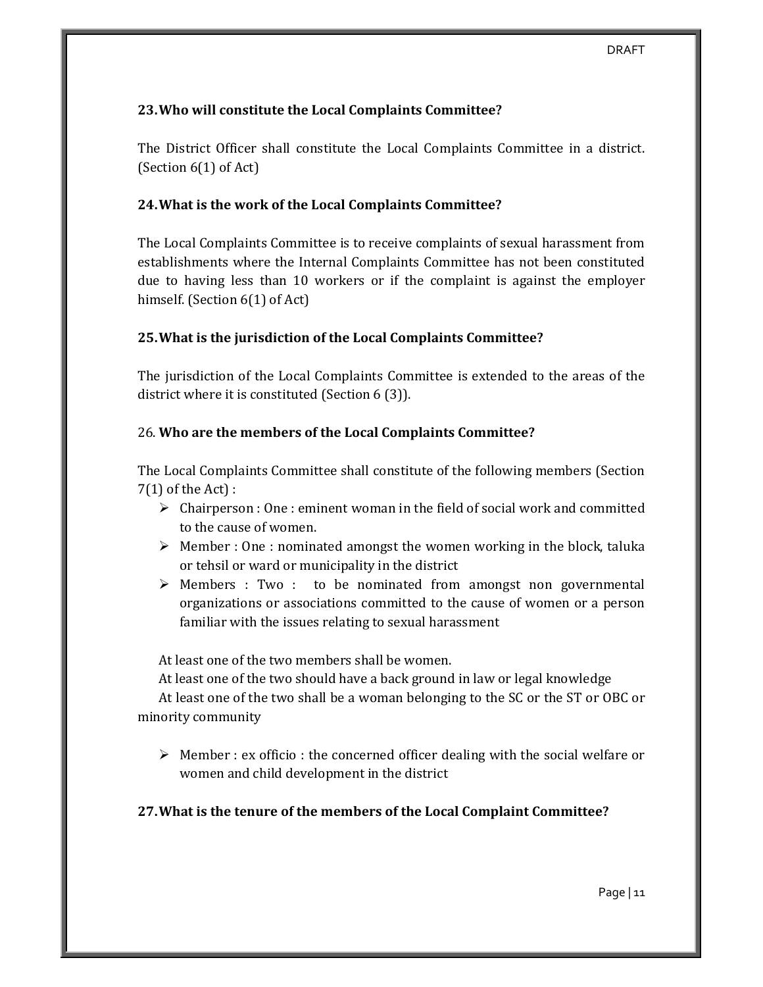### **23.Who will constitute the Local Complaints Committee?**

The District Officer shall constitute the Local Complaints Committee in a district. (Section 6(1) of Act)

### **24.What is the work of the Local Complaints Committee?**

The Local Complaints Committee is to receive complaints of sexual harassment from establishments where the Internal Complaints Committee has not been constituted due to having less than 10 workers or if the complaint is against the employer himself. (Section 6(1) of Act)

### **25.What is the jurisdiction of the Local Complaints Committee?**

The jurisdiction of the Local Complaints Committee is extended to the areas of the district where it is constituted (Section 6 (3)).

### 26. **Who are the members of the Local Complaints Committee?**

The Local Complaints Committee shall constitute of the following members (Section 7(1) of the Act) :

- $\triangleright$  Chairperson : One : eminent woman in the field of social work and committed to the cause of women.
- $\triangleright$  Member : One : nominated amongst the women working in the block, taluka or tehsil or ward or municipality in the district
- $\triangleright$  Members : Two : to be nominated from amongst non governmental organizations or associations committed to the cause of women or a person familiar with the issues relating to sexual harassment

At least one of the two members shall be women.

At least one of the two should have a back ground in law or legal knowledge

At least one of the two shall be a woman belonging to the SC or the ST or OBC or minority community

 $\triangleright$  Member : ex officio : the concerned officer dealing with the social welfare or women and child development in the district

## **27.What is the tenure of the members of the Local Complaint Committee?**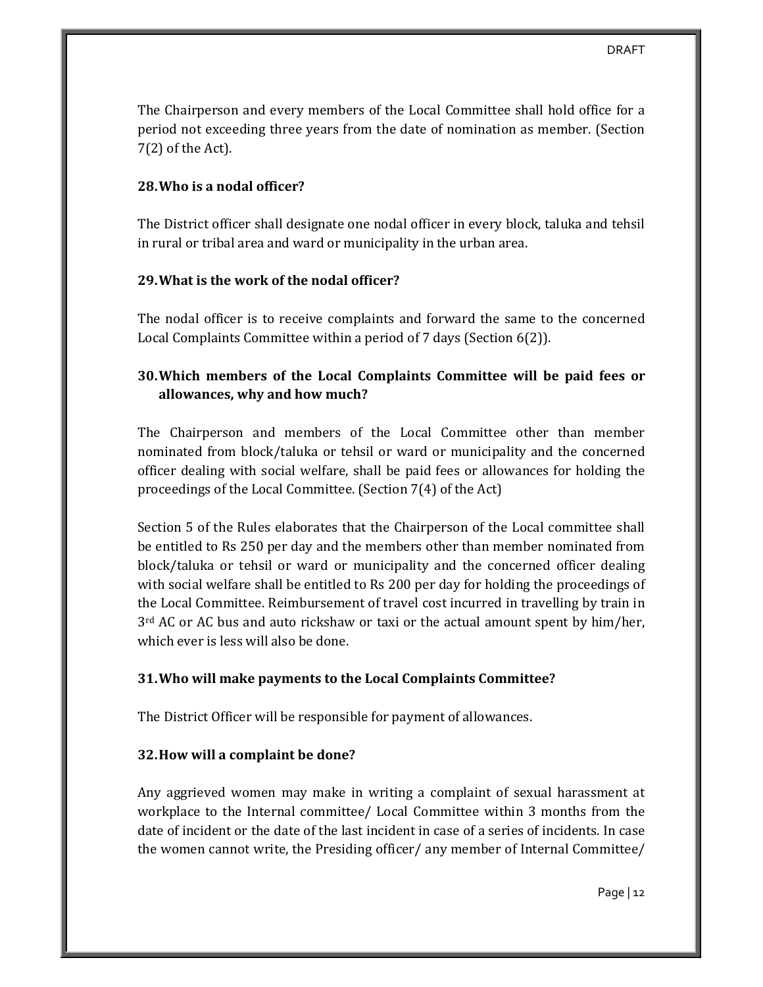The Chairperson and every members of the Local Committee shall hold office for a period not exceeding three years from the date of nomination as member. (Section 7(2) of the Act).

### **28.Who is a nodal officer?**

The District officer shall designate one nodal officer in every block, taluka and tehsil in rural or tribal area and ward or municipality in the urban area.

### **29.What is the work of the nodal officer?**

The nodal officer is to receive complaints and forward the same to the concerned Local Complaints Committee within a period of 7 days (Section 6(2)).

## **30.Which members of the Local Complaints Committee will be paid fees or allowances, why and how much?**

The Chairperson and members of the Local Committee other than member nominated from block/taluka or tehsil or ward or municipality and the concerned officer dealing with social welfare, shall be paid fees or allowances for holding the proceedings of the Local Committee. (Section 7(4) of the Act)

Section 5 of the Rules elaborates that the Chairperson of the Local committee shall be entitled to Rs 250 per day and the members other than member nominated from block/taluka or tehsil or ward or municipality and the concerned officer dealing with social welfare shall be entitled to Rs 200 per day for holding the proceedings of the Local Committee. Reimbursement of travel cost incurred in travelling by train in  $3<sup>rd</sup>$  AC or AC bus and auto rickshaw or taxi or the actual amount spent by him/her, which ever is less will also be done.

## **31.Who will make payments to the Local Complaints Committee?**

The District Officer will be responsible for payment of allowances.

### **32.How will a complaint be done?**

Any aggrieved women may make in writing a complaint of sexual harassment at workplace to the Internal committee/ Local Committee within 3 months from the date of incident or the date of the last incident in case of a series of incidents. In case the women cannot write, the Presiding officer/ any member of Internal Committee/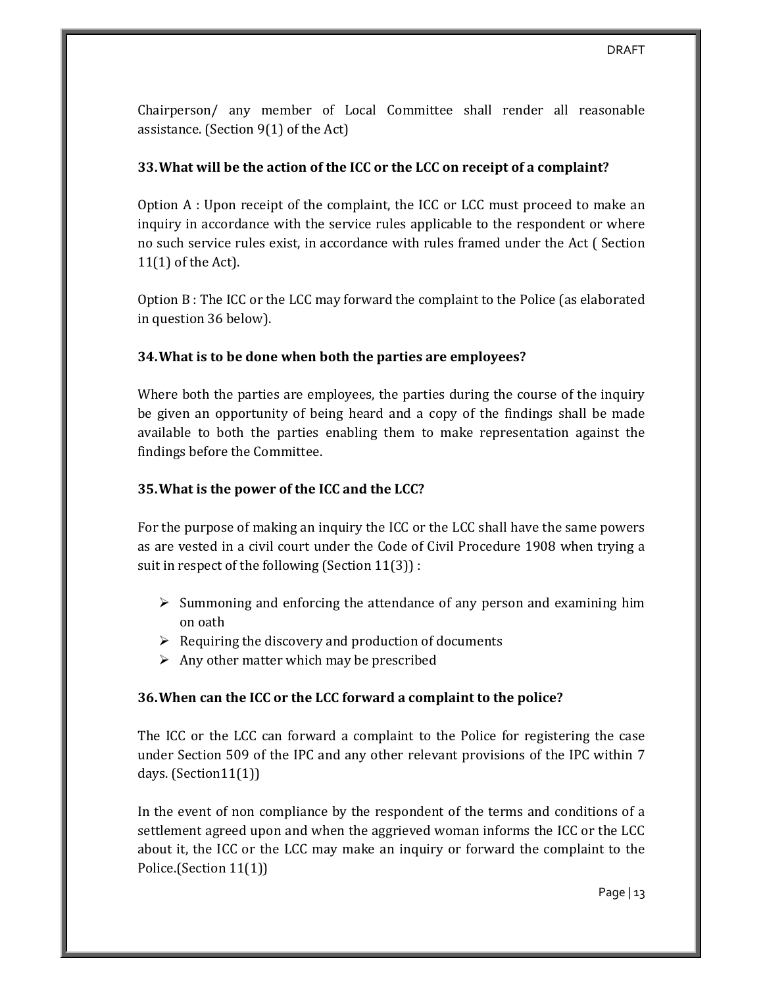Chairperson/ any member of Local Committee shall render all reasonable assistance. (Section 9(1) of the Act)

### **33.What will be the action of the ICC or the LCC on receipt of a complaint?**

Option A : Upon receipt of the complaint, the ICC or LCC must proceed to make an inquiry in accordance with the service rules applicable to the respondent or where no such service rules exist, in accordance with rules framed under the Act ( Section 11(1) of the Act).

Option B : The ICC or the LCC may forward the complaint to the Police (as elaborated in question 36 below).

### **34.What is to be done when both the parties are employees?**

Where both the parties are employees, the parties during the course of the inquiry be given an opportunity of being heard and a copy of the findings shall be made available to both the parties enabling them to make representation against the findings before the Committee.

### **35.What is the power of the ICC and the LCC?**

For the purpose of making an inquiry the ICC or the LCC shall have the same powers as are vested in a civil court under the Code of Civil Procedure 1908 when trying a suit in respect of the following (Section 11(3)) :

- $\triangleright$  Summoning and enforcing the attendance of any person and examining him on oath
- $\triangleright$  Requiring the discovery and production of documents
- $\triangleright$  Any other matter which may be prescribed

### **36.When can the ICC or the LCC forward a complaint to the police?**

The ICC or the LCC can forward a complaint to the Police for registering the case under Section 509 of the IPC and any other relevant provisions of the IPC within 7 days. (Section11(1))

In the event of non compliance by the respondent of the terms and conditions of a settlement agreed upon and when the aggrieved woman informs the ICC or the LCC about it, the ICC or the LCC may make an inquiry or forward the complaint to the Police.(Section 11(1))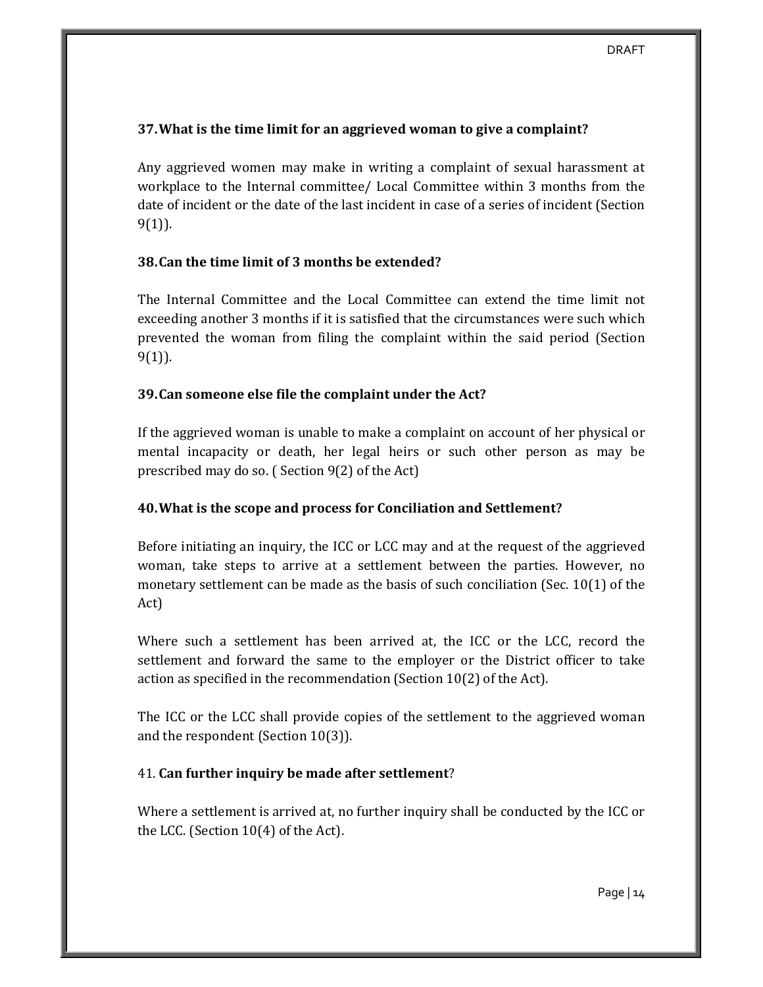### **37.What is the time limit for an aggrieved woman to give a complaint?**

Any aggrieved women may make in writing a complaint of sexual harassment at workplace to the Internal committee/ Local Committee within 3 months from the date of incident or the date of the last incident in case of a series of incident (Section 9(1)).

### **38.Can the time limit of 3 months be extended?**

The Internal Committee and the Local Committee can extend the time limit not exceeding another 3 months if it is satisfied that the circumstances were such which prevented the woman from filing the complaint within the said period (Section 9(1)).

### **39.Can someone else file the complaint under the Act?**

If the aggrieved woman is unable to make a complaint on account of her physical or mental incapacity or death, her legal heirs or such other person as may be prescribed may do so. ( Section 9(2) of the Act)

## **40.What is the scope and process for Conciliation and Settlement?**

Before initiating an inquiry, the ICC or LCC may and at the request of the aggrieved woman, take steps to arrive at a settlement between the parties. However, no monetary settlement can be made as the basis of such conciliation (Sec. 10(1) of the Act)

Where such a settlement has been arrived at, the ICC or the LCC, record the settlement and forward the same to the employer or the District officer to take action as specified in the recommendation (Section 10(2) of the Act).

The ICC or the LCC shall provide copies of the settlement to the aggrieved woman and the respondent (Section 10(3)).

## 41. **Can further inquiry be made after settlement**?

Where a settlement is arrived at, no further inquiry shall be conducted by the ICC or the LCC. (Section 10(4) of the Act).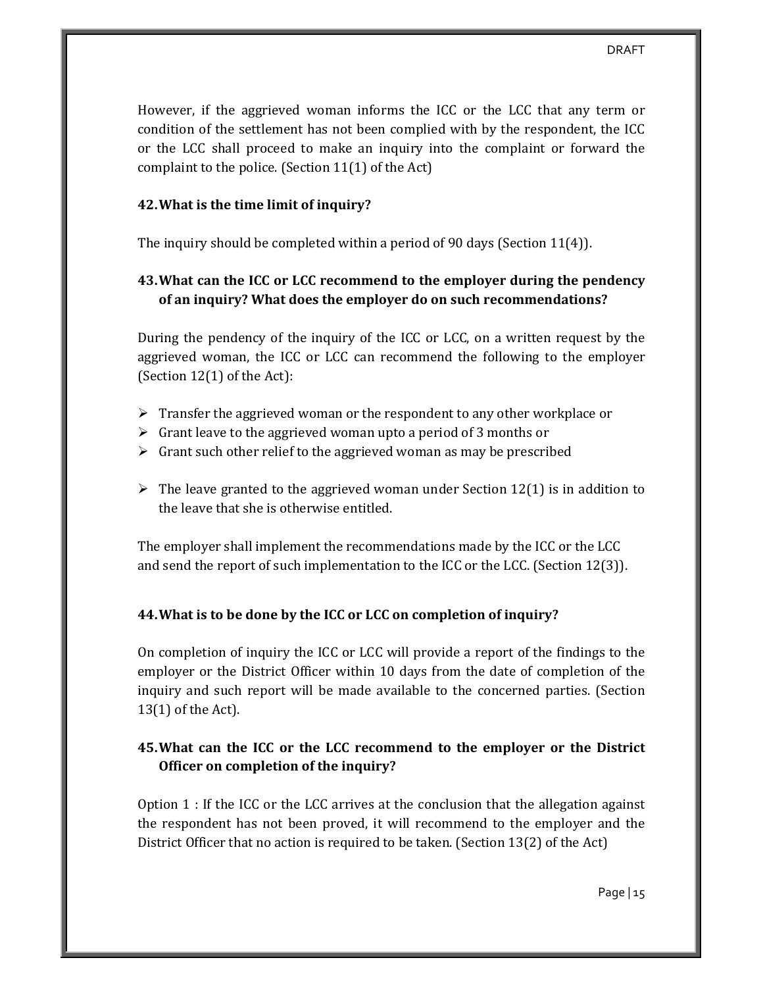However, if the aggrieved woman informs the ICC or the LCC that any term or condition of the settlement has not been complied with by the respondent, the ICC or the LCC shall proceed to make an inquiry into the complaint or forward the complaint to the police. (Section 11(1) of the Act)

### **42.What is the time limit of inquiry?**

The inquiry should be completed within a period of 90 days (Section 11(4)).

# **43.What can the ICC or LCC recommend to the employer during the pendency of an inquiry? What does the employer do on such recommendations?**

During the pendency of the inquiry of the ICC or LCC, on a written request by the aggrieved woman, the ICC or LCC can recommend the following to the employer (Section 12(1) of the Act):

- $\triangleright$  Transfer the aggrieved woman or the respondent to any other workplace or
- $\triangleright$  Grant leave to the aggrieved woman upto a period of 3 months or
- $\triangleright$  Grant such other relief to the aggrieved woman as may be prescribed
- $\triangleright$  The leave granted to the aggrieved woman under Section 12(1) is in addition to the leave that she is otherwise entitled.

The employer shall implement the recommendations made by the ICC or the LCC and send the report of such implementation to the ICC or the LCC. (Section 12(3)).

## **44.What is to be done by the ICC or LCC on completion of inquiry?**

On completion of inquiry the ICC or LCC will provide a report of the findings to the employer or the District Officer within 10 days from the date of completion of the inquiry and such report will be made available to the concerned parties. (Section 13(1) of the Act).

# **45.What can the ICC or the LCC recommend to the employer or the District Officer on completion of the inquiry?**

Option 1 : If the ICC or the LCC arrives at the conclusion that the allegation against the respondent has not been proved, it will recommend to the employer and the District Officer that no action is required to be taken. (Section 13(2) of the Act)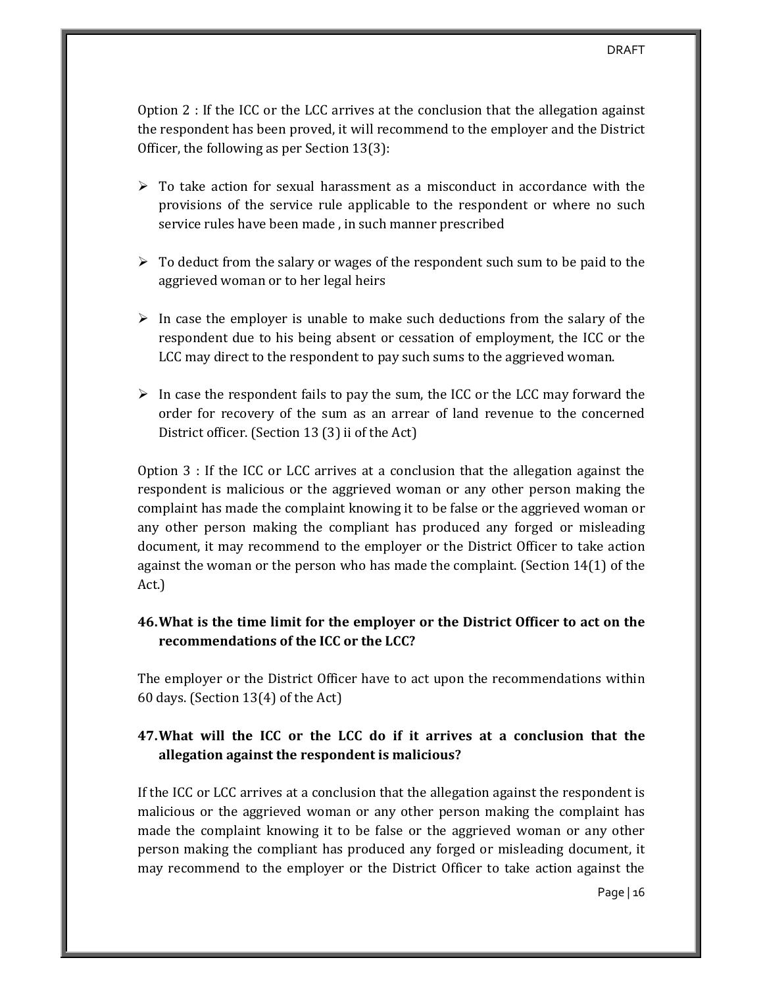Option 2 : If the ICC or the LCC arrives at the conclusion that the allegation against the respondent has been proved, it will recommend to the employer and the District Officer, the following as per Section 13(3):

- $\triangleright$  To take action for sexual harassment as a misconduct in accordance with the provisions of the service rule applicable to the respondent or where no such service rules have been made , in such manner prescribed
- $\triangleright$  To deduct from the salary or wages of the respondent such sum to be paid to the aggrieved woman or to her legal heirs
- $\triangleright$  In case the employer is unable to make such deductions from the salary of the respondent due to his being absent or cessation of employment, the ICC or the LCC may direct to the respondent to pay such sums to the aggrieved woman.
- $\triangleright$  In case the respondent fails to pay the sum, the ICC or the LCC may forward the order for recovery of the sum as an arrear of land revenue to the concerned District officer. (Section 13 (3) ii of the Act)

Option 3 : If the ICC or LCC arrives at a conclusion that the allegation against the respondent is malicious or the aggrieved woman or any other person making the complaint has made the complaint knowing it to be false or the aggrieved woman or any other person making the compliant has produced any forged or misleading document, it may recommend to the employer or the District Officer to take action against the woman or the person who has made the complaint. (Section 14(1) of the Act.)

# **46.What is the time limit for the employer or the District Officer to act on the recommendations of the ICC or the LCC?**

The employer or the District Officer have to act upon the recommendations within 60 days. (Section 13(4) of the Act)

## **47.What will the ICC or the LCC do if it arrives at a conclusion that the allegation against the respondent is malicious?**

If the ICC or LCC arrives at a conclusion that the allegation against the respondent is malicious or the aggrieved woman or any other person making the complaint has made the complaint knowing it to be false or the aggrieved woman or any other person making the compliant has produced any forged or misleading document, it may recommend to the employer or the District Officer to take action against the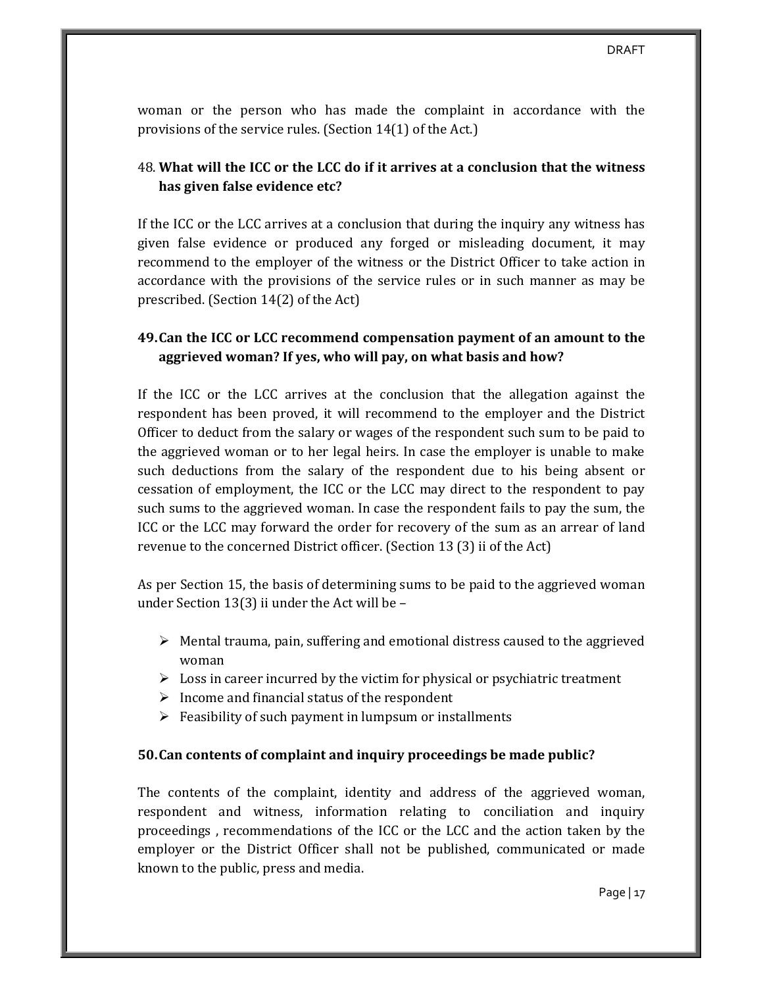woman or the person who has made the complaint in accordance with the provisions of the service rules. (Section 14(1) of the Act.)

## 48. **What will the ICC or the LCC do if it arrives at a conclusion that the witness has given false evidence etc?**

If the ICC or the LCC arrives at a conclusion that during the inquiry any witness has given false evidence or produced any forged or misleading document, it may recommend to the employer of the witness or the District Officer to take action in accordance with the provisions of the service rules or in such manner as may be prescribed. (Section 14(2) of the Act)

## **49.Can the ICC or LCC recommend compensation payment of an amount to the aggrieved woman? If yes, who will pay, on what basis and how?**

If the ICC or the LCC arrives at the conclusion that the allegation against the respondent has been proved, it will recommend to the employer and the District Officer to deduct from the salary or wages of the respondent such sum to be paid to the aggrieved woman or to her legal heirs. In case the employer is unable to make such deductions from the salary of the respondent due to his being absent or cessation of employment, the ICC or the LCC may direct to the respondent to pay such sums to the aggrieved woman. In case the respondent fails to pay the sum, the ICC or the LCC may forward the order for recovery of the sum as an arrear of land revenue to the concerned District officer. (Section 13 (3) ii of the Act)

As per Section 15, the basis of determining sums to be paid to the aggrieved woman under Section 13(3) ii under the Act will be –

- $\triangleright$  Mental trauma, pain, suffering and emotional distress caused to the aggrieved woman
- $\triangleright$  Loss in career incurred by the victim for physical or psychiatric treatment
- $\triangleright$  Income and financial status of the respondent
- $\triangleright$  Feasibility of such payment in lumpsum or installments

### **50.Can contents of complaint and inquiry proceedings be made public?**

The contents of the complaint, identity and address of the aggrieved woman, respondent and witness, information relating to conciliation and inquiry proceedings , recommendations of the ICC or the LCC and the action taken by the employer or the District Officer shall not be published, communicated or made known to the public, press and media.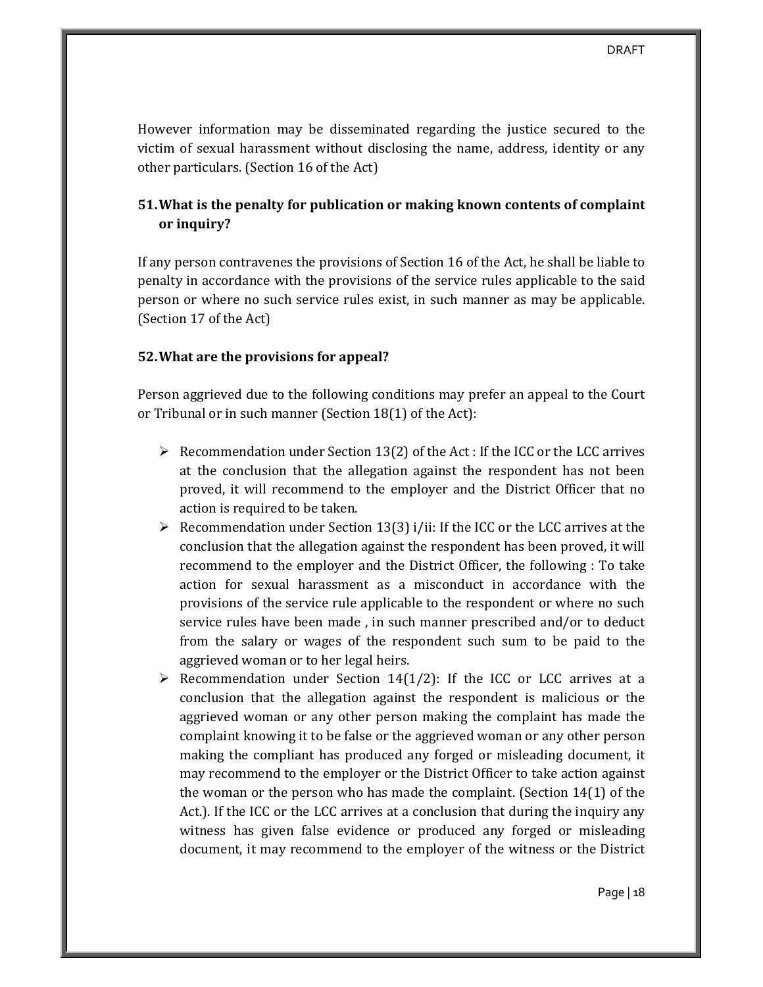However information may be disseminated regarding the justice secured to the victim of sexual harassment without disclosing the name, address, identity or any other particulars. (Section 16 of the Act)

# **51.What is the penalty for publication or making known contents of complaint or inquiry?**

If any person contravenes the provisions of Section 16 of the Act, he shall be liable to penalty in accordance with the provisions of the service rules applicable to the said person or where no such service rules exist, in such manner as may be applicable. (Section 17 of the Act)

### **52.What are the provisions for appeal?**

Person aggrieved due to the following conditions may prefer an appeal to the Court or Tribunal or in such manner (Section 18(1) of the Act):

- $\triangleright$  Recommendation under Section 13(2) of the Act : If the ICC or the LCC arrives at the conclusion that the allegation against the respondent has not been proved, it will recommend to the employer and the District Officer that no action is required to be taken.
- $\triangleright$  Recommendation under Section 13(3) i/ii: If the ICC or the LCC arrives at the conclusion that the allegation against the respondent has been proved, it will recommend to the employer and the District Officer, the following : To take action for sexual harassment as a misconduct in accordance with the provisions of the service rule applicable to the respondent or where no such service rules have been made , in such manner prescribed and/or to deduct from the salary or wages of the respondent such sum to be paid to the aggrieved woman or to her legal heirs.
- $\triangleright$  Recommendation under Section 14(1/2): If the ICC or LCC arrives at a conclusion that the allegation against the respondent is malicious or the aggrieved woman or any other person making the complaint has made the complaint knowing it to be false or the aggrieved woman or any other person making the compliant has produced any forged or misleading document, it may recommend to the employer or the District Officer to take action against the woman or the person who has made the complaint. (Section 14(1) of the Act.). If the ICC or the LCC arrives at a conclusion that during the inquiry any witness has given false evidence or produced any forged or misleading document, it may recommend to the employer of the witness or the District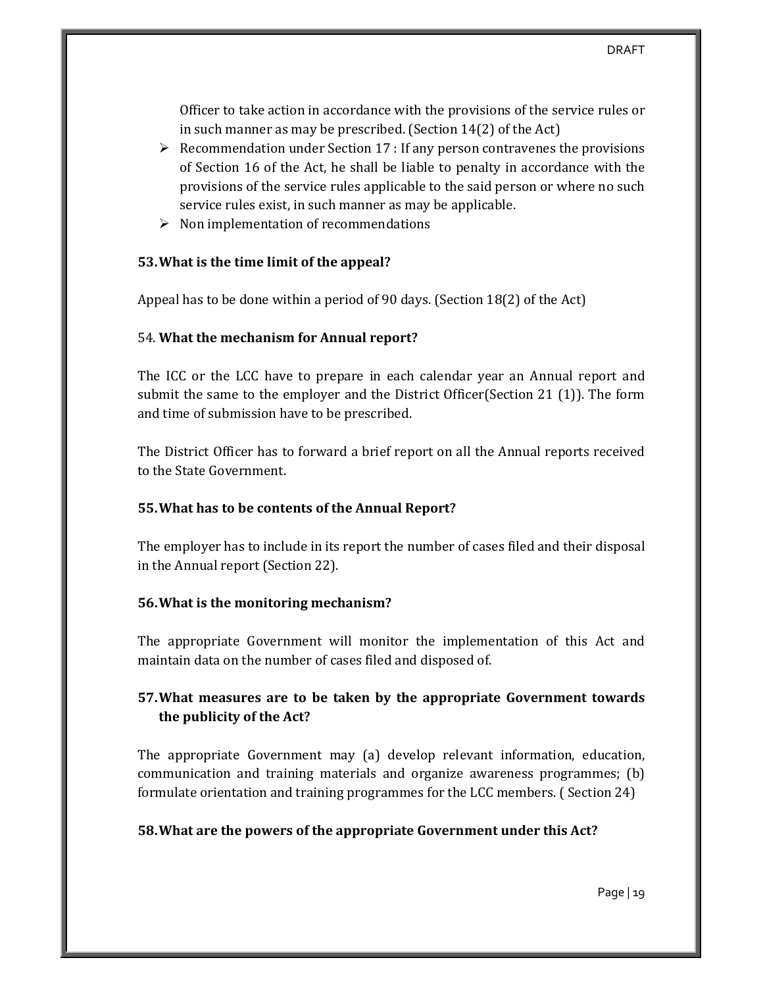Officer to take action in accordance with the provisions of the service rules or in such manner as may be prescribed. (Section 14(2) of the Act)

- $\triangleright$  Recommendation under Section 17 : If any person contravenes the provisions of Section 16 of the Act, he shall be liable to penalty in accordance with the provisions of the service rules applicable to the said person or where no such service rules exist, in such manner as may be applicable.
- $\triangleright$  Non implementation of recommendations

### **53.What is the time limit of the appeal?**

Appeal has to be done within a period of 90 days. (Section 18(2) of the Act)

### 54. **What the mechanism for Annual report?**

The ICC or the LCC have to prepare in each calendar year an Annual report and submit the same to the employer and the District Officer(Section 21 (1)). The form and time of submission have to be prescribed.

The District Officer has to forward a brief report on all the Annual reports received to the State Government.

## **55.What has to be contents of the Annual Report?**

The employer has to include in its report the number of cases filed and their disposal in the Annual report (Section 22).

## **56.What is the monitoring mechanism?**

The appropriate Government will monitor the implementation of this Act and maintain data on the number of cases filed and disposed of.

# **57.What measures are to be taken by the appropriate Government towards the publicity of the Act?**

The appropriate Government may (a) develop relevant information, education, communication and training materials and organize awareness programmes; (b) formulate orientation and training programmes for the LCC members. ( Section 24)

## **58.What are the powers of the appropriate Government under this Act?**